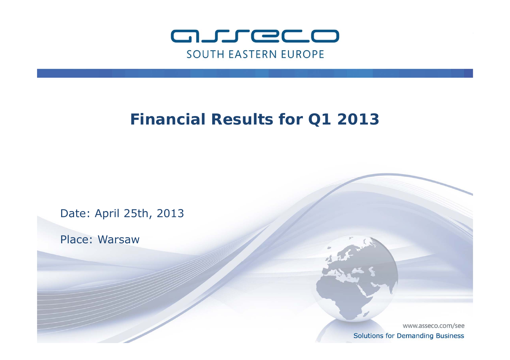

# **Financial Results for Q1 2013**

Date: April 25th, 2013

Place: Warsaw

www.asseco.com/see **Solutions for Demanding Business**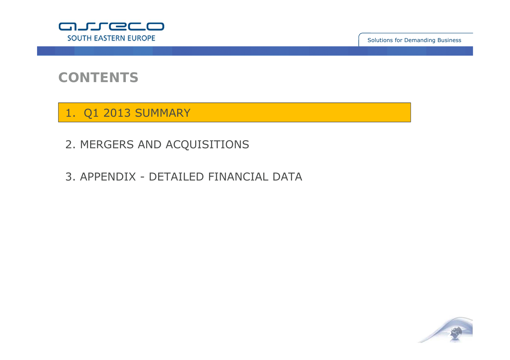

## **CONTENTS**

1. Q1 2013 SUMMARY

- 2. MERGERS AND ACQUISITIONS
- 3. APPENDIX DETAILED FINANCIAL DATA

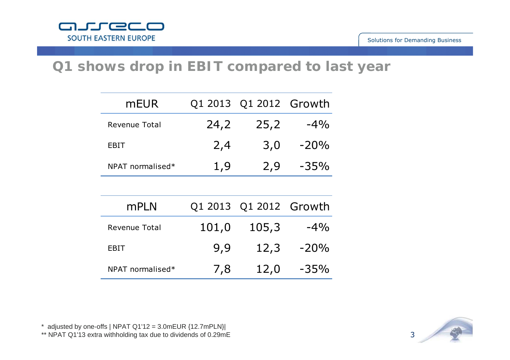

# **Q1 shows drop in EBIT compared to last year**

| <b>mEUR</b>          |       | Q1 2013 Q1 2012 Growth |        |
|----------------------|-------|------------------------|--------|
| <b>Revenue Total</b> | 24,2  | 25,2                   | $-4%$  |
| EBIT                 | 2,4   | 3,0                    | $-20%$ |
| NPAT normalised*     | 1,9   | 2,9                    | $-35%$ |
|                      |       |                        |        |
| <b>mPLN</b>          |       | Q1 2013 Q1 2012 Growth |        |
| <b>Revenue Total</b> | 101,0 | 105,3                  | $-4\%$ |
| <b>EBIT</b>          | 9,9   | 12,3                   | $-20%$ |
| NPAT normalised*     | 7,8   | 12,0                   | $-35%$ |



 $*$  adjusted by one-offs | NPAT Q1'12 = 3.0mEUR  ${12.7mPLN}$ \*\* NPAT Q1'13 extra withholding tax due to dividends of 0.29mE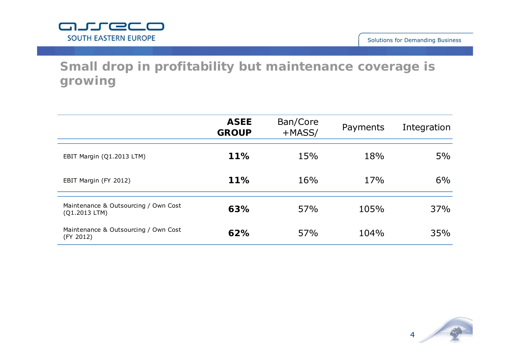

**Small drop in profitability but maintenance coverage is growing**

|                                                       | <b>ASEE</b><br><b>GROUP</b> | Ban/Core<br>$+MASS/$ | Payments | Integration |
|-------------------------------------------------------|-----------------------------|----------------------|----------|-------------|
| EBIT Margin (Q1.2013 LTM)                             | 11%                         | 15%                  | 18%      | 5%          |
| EBIT Margin (FY 2012)                                 | 11%                         | 16%                  | 17%      | 6%          |
| Maintenance & Outsourcing / Own Cost<br>(Q1.2013 LTM) | 63%                         | 57%                  | 105%     | 37%         |
| Maintenance & Outsourcing / Own Cost<br>(FY 2012)     | 62%                         | 57%                  | 104%     | 35%         |

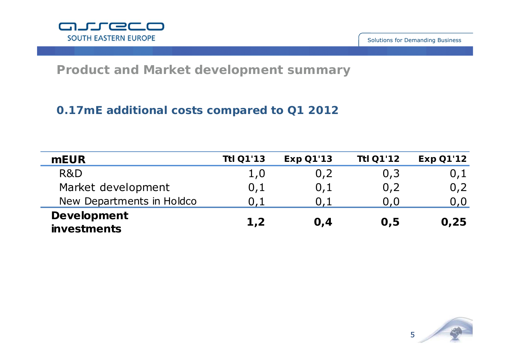

## **Product and Market development summary**

## **0.17mE additional costs compared to Q1 2012**

| <b>mEUR</b>                              | <b>Ttl Q1'13</b> | <b>Exp Q1'13</b> | <b>Ttl Q1'12</b> | <b>Exp Q1'12</b> |
|------------------------------------------|------------------|------------------|------------------|------------------|
| R&D                                      | 1,0              | 0,2              | 0,3              | 0,1              |
| Market development                       | 0,1              | 0,1              | 0,2              | 0,2              |
| New Departments in Holdco                | $0.1\,$          | 0.1              | 0,0              | 0,0              |
| <b>Development</b><br><b>investments</b> | 1,2              | O, 4             | 0.5              | 0,25             |

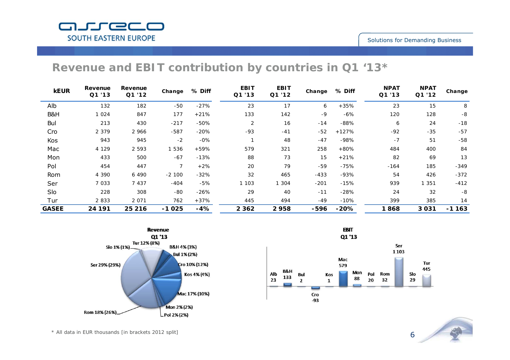

### **Revenue and EBIT contribution by countries in Q1 '13\***

| <b>kEUR</b>  | Revenue<br>Q1 '13 | Revenue<br>Q1 '12 | Change  | % Diff | <b>EBIT</b><br>Q1 '13 | <b>EBIT</b><br>Q1'12 | Change | % Diff  | <b>NPAT</b><br>Q1 '13 | <b>NPAT</b><br>Q1 '12 | Change  |
|--------------|-------------------|-------------------|---------|--------|-----------------------|----------------------|--------|---------|-----------------------|-----------------------|---------|
| Alb          | 132               | 182               | -50     | $-27%$ | 23                    | 17                   | 6      | $+35%$  | 23                    | 15                    | 8       |
| B&H          | 1024              | 847               | 177     | $+21%$ | 133                   | 142                  | $-9$   | $-6%$   | 120                   | 128                   | -8      |
| Bul          | 213               | 430               | $-217$  | $-50%$ | 2                     | 16                   | $-14$  | -88%    | 6                     | 24                    | $-18$   |
| Cro          | 2 3 7 9           | 2966              | $-587$  | $-20%$ | $-93$                 | $-41$                | $-52$  | $+127%$ | $-92$                 | $-35$                 | $-57$   |
| Kos          | 943               | 945               | $-2$    | $-0\%$ |                       | 48                   | $-47$  | -98%    | $-7$                  | 51                    | $-58$   |
| Mac          | 4 1 2 9           | 2 5 9 3           | 1 536   | $+59%$ | 579                   | 321                  | 258    | $+80%$  | 484                   | 400                   | 84      |
| Mon          | 433               | 500               | $-67$   | $-13%$ | 88                    | 73                   | 15     | $+21%$  | 82                    | 69                    | 13      |
| Pol          | 454               | 447               | 7       | $+2%$  | 20                    | 79                   | $-59$  | $-75%$  | $-164$                | 185                   | $-349$  |
| Rom          | 4 3 9 0           | 6 4 9 0           | $-2100$ | $-32%$ | 32                    | 465                  | $-433$ | $-93%$  | 54                    | 426                   | $-372$  |
| Ser          | 7033              | 7 4 3 7           | $-404$  | $-5%$  | 1 103                 | 1 304                | $-201$ | $-15%$  | 939                   | 1 351                 | $-412$  |
| Slo          | 228               | 308               | -80     | $-26%$ | 29                    | 40                   | $-11$  | $-28%$  | 24                    | 32                    | -8      |
| Tur          | 2833              | 2071              | 762     | $+37%$ | 445                   | 494                  | $-49$  | $-10%$  | 399                   | 385                   | 14      |
| <b>GASEE</b> | 24 191            | 25 216            | $-1025$ | $-4%$  | 2 3 6 2               | 2958                 | -596   | $-20%$  | 1868                  | 3031                  | $-1163$ |





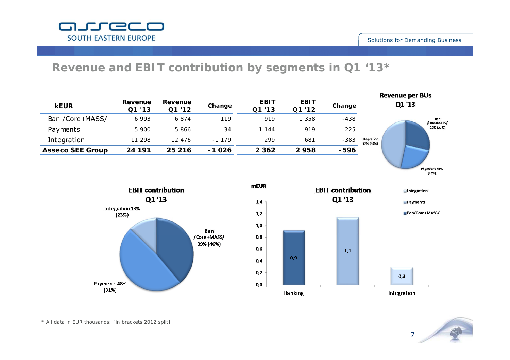## **Revenue and EBIT contribution by segments in Q1 '13\***

| <b>KEUR</b>             | Revenue<br>Q1 '13 | Revenue<br>Q1 '12 | Change  | <b>EBIT</b><br>'13<br>Q1 | <b>EBIT</b><br>Q1 '12 | Change |                     |
|-------------------------|-------------------|-------------------|---------|--------------------------|-----------------------|--------|---------------------|
| Ban /Core+MASS/         | 6993              | 6874              | 119     | 919                      | 1358                  | -438   |                     |
| Payments                | 5 900             | 5 866             | 34      | 1 144                    | 919                   | 225    |                     |
| Integration             | 11 298            | 12476             | $-1179$ | 299                      | 681                   | -383   | Integrat<br>47% (49 |
| <b>Asseco SEE Group</b> | 24 191            | 25 216            | -1026   | 2 3 6 2                  | 2958                  | -596   |                     |











*\* All data in EUR thousands; [in brackets 2012 split]*

GJJECO **SOUTH EASTERN EUROPE**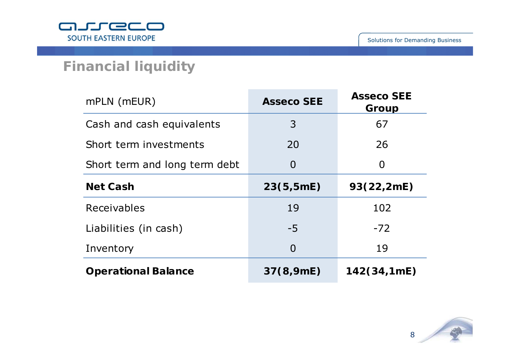

# **Financial liquidity**

| mPLN (mEUR)                   | <b>Asseco SEE</b> | <b>Asseco SEE</b><br>Group |
|-------------------------------|-------------------|----------------------------|
| Cash and cash equivalents     | 3                 | 67                         |
| Short term investments        | 20                | 26                         |
| Short term and long term debt | $\Omega$          | $\overline{0}$             |
| <b>Net Cash</b>               | 23(5,5mE)         | 93(22,2mE)                 |
| Receivables                   | 19                | 102                        |
| Liabilities (in cash)         | $-5$              | $-72$                      |
| Inventory                     | $\Omega$          | 19                         |
| <b>Operational Balance</b>    | 37(8,9mE)         | 142(34,1mE)                |

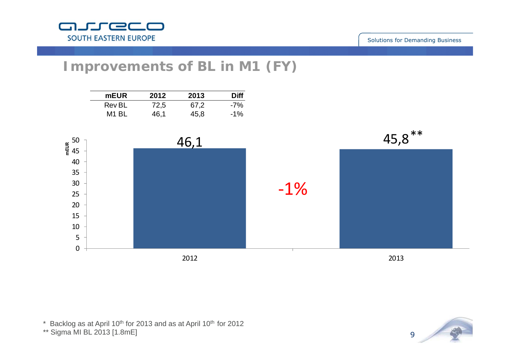

# **Improvements of BL in M1 (FY)**



\* Backlog as at April 10<sup>th</sup> for 2013 and as at April 10<sup>th</sup> for 2012

\*\* Sigma MI BL 2013 [1.8mE]

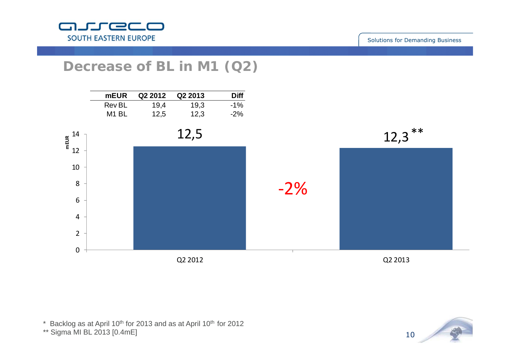

# **Decrease of BL in M1 (Q2)**



\* Backlog as at April 10<sup>th</sup> for 2013 and as at April 10<sup>th</sup> for 2012

\*\* Sigma MI BL 2013 [0.4mE]

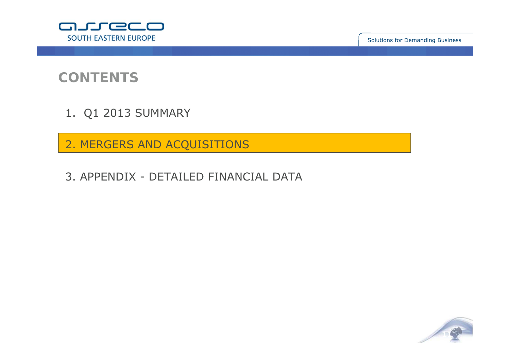

**CONTENTS**

1. Q1 2013 SUMMARY

2. MERGERS AND ACQUISITIONS

3. APPENDIX - DETAILED FINANCIAL DATA

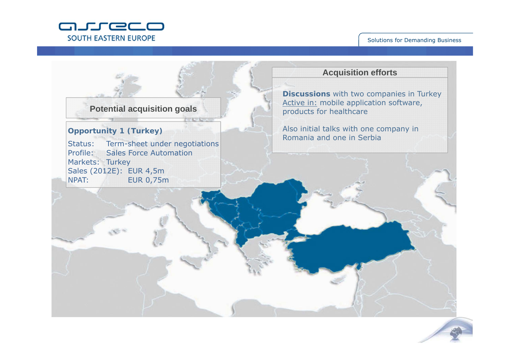



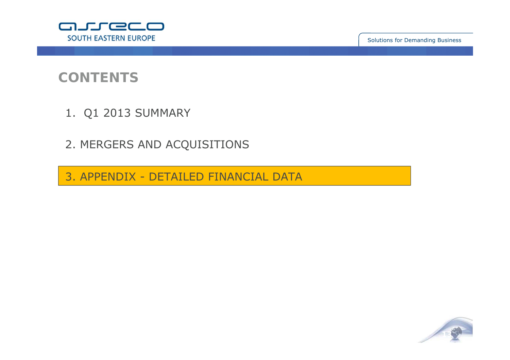

**CONTENTS**

- 1. Q1 2013 SUMMARY
- 2. MERGERS AND ACQUISITIONS
- 3. APPENDIX DETAILED FINANCIAL DATA

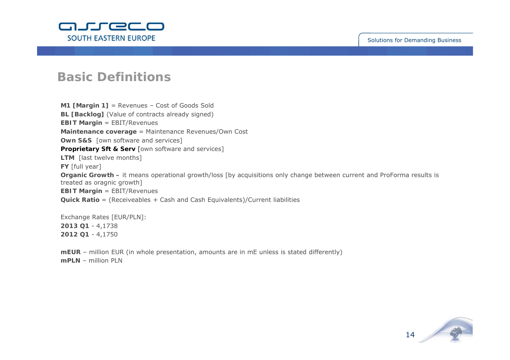

### **Basic Definitions**

**M1 [Margin 1]** = Revenues – Cost of Goods Sold **BL [Backlog]** (Value of contracts already signed) **EBIT Margin** = EBIT/Revenues **Maintenance coverage** = Maintenance Revenues/Own Cost **Own S&S** [own software and services] **Proprietary Sft & Serv** [own software and services] **LTM** [last twelve months] **FY** [full year] **Organic Growth –** it means operational growth/loss [by acquisitions only change between current and ProForma results is treated as oragnic growth] **EBIT Margin** = EBIT/Revenues **Quick Ratio** = (Receiveables + Cash and Cash Equivalents)/Current liabilities

Exchange Rates [EUR/PLN]: **2013 Q1** - 4,1738 **2012 Q1** - 4,1750

**mEUR** – million EUR (in whole presentation, amounts are in mE unless is stated differently) **mPLN** – million PLN

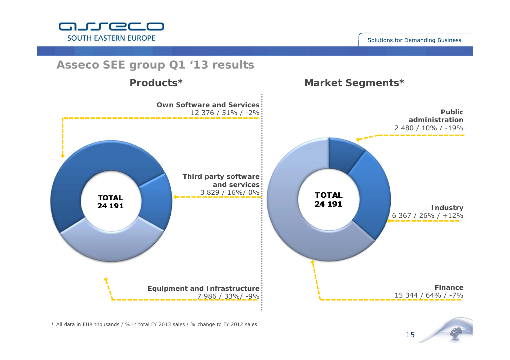

### **Asseco SEE group Q1 '13 results Products\* Market Segments\* Own Software and Services**: **Public** 12 376 / 51% / -2% **administration**2 480 / 10% / -19% **Third party software and services** 3 829 / 16%/ 0% **TOTAL TOTAL** 24 191 24 19 1 **Industry** 6 367 / 26% / +12% **Equipment and Infrastructure Finance** 15 344 / 64% / -7% 7 986 / 33%/ -9%



*\* All data in EUR thousands / % in total FY 2013 sales / % change to FY 2012 sales*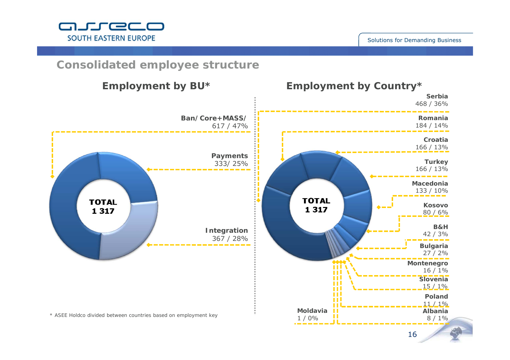

### **Consolidated employee structure**

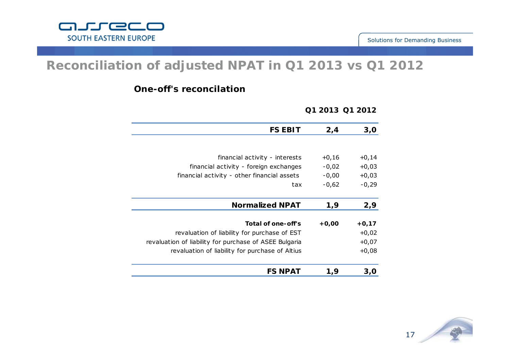

## **Reconciliation of adjusted NPAT in Q1 2013 vs Q1 2012**

### **One-off's reconcilation**

| <b>FS EBIT</b>                                         | 2,4     | 3,0     |
|--------------------------------------------------------|---------|---------|
|                                                        |         |         |
| financial activity - interests                         | $+0,16$ | $+0,14$ |
| financial activity - foreign exchanges                 | $-0,02$ | $+0,03$ |
| financial activity - other financial assets            | $-0,00$ | $+0,03$ |
| tax                                                    | $-0,62$ | $-0,29$ |
|                                                        |         |         |
|                                                        |         |         |
| <b>Normalized NPAT</b>                                 | 1,9     | 2,9     |
|                                                        |         |         |
| Total of one-off's                                     | $+0,00$ | $+0,17$ |
| revaluation of liability for purchase of EST           |         | $+0,02$ |
| revaluation of liability for purchase of ASEE Bulgaria |         | $+0,07$ |
| revaluation of liability for purchase of Altius        |         | $+0,08$ |

#### **Q1 2013 Q1 2012**

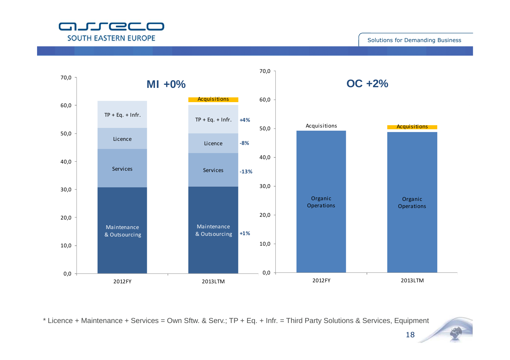



\* Licence + Maintenance + Services = Own Sftw. & Serv.; TP + Eq. + Infr. = Third Party Solutions & Services, Equipment

18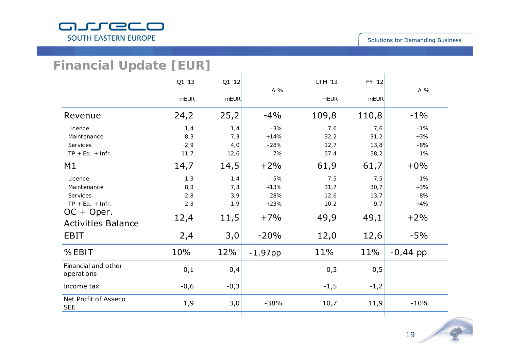

## **Financial Update [EUR]**

|                                                                                                                      | Q1 '13                                   | Q1 '12                                    | $\Delta$ %                                             | LTM '13                                     | FY '12                                       | $\Delta~\%$                                        |
|----------------------------------------------------------------------------------------------------------------------|------------------------------------------|-------------------------------------------|--------------------------------------------------------|---------------------------------------------|----------------------------------------------|----------------------------------------------------|
|                                                                                                                      | <b>mEUR</b>                              | mEUR                                      |                                                        | <b>mEUR</b>                                 | mEUR                                         |                                                    |
| Revenue                                                                                                              | 24,2                                     | 25,2                                      | $-4%$                                                  | 109,8                                       | 110,8                                        | $-1\%$                                             |
| Licence<br>Maintenance<br>Services<br>$TP + Eq. + Infr.$                                                             | 1, 4<br>8,3<br>2,9<br>11, 7              | 1, 4<br>7,3<br>4,0<br>12,6                | $-3%$<br>$+14%$<br>$-28%$<br>$-7%$                     | 7,6<br>32,2<br>12, 7<br>57,4                | 7,6<br>31,2<br>13,8<br>58,2                  | $-1%$<br>$+3%$<br>$-8%$<br>$-1%$                   |
| M1                                                                                                                   | 14,7                                     | 14,5                                      | $+2%$                                                  | 61,9                                        | 61,7                                         | $+0%$                                              |
| Licence<br>Maintenance<br>Services<br>$TP + Eq. + Infr.$<br>$OC + Oper.$<br><b>Activities Balance</b><br><b>EBIT</b> | 1, 3<br>8,3<br>2,8<br>2,3<br>12,4<br>2,4 | 1, 4<br>7,3<br>3,9<br>1, 9<br>11,5<br>3,0 | $-5%$<br>$+13%$<br>$-28%$<br>$+23%$<br>$+7%$<br>$-20%$ | 7,5<br>31,7<br>12,6<br>10,2<br>49,9<br>12,0 | 7,5<br>30, 7<br>13, 7<br>9,7<br>49,1<br>12,6 | $-1%$<br>$+3%$<br>$-8%$<br>$+4%$<br>$+2%$<br>$-5%$ |
| %EBIT                                                                                                                | 10%                                      | 12%                                       | $-1,97pp$                                              | 11%                                         | 11%                                          | $-0,44$ pp                                         |
| Financial and other<br>operations                                                                                    | 0,1                                      | 0,4                                       |                                                        | 0,3                                         | 0,5                                          |                                                    |
| Income tax                                                                                                           | $-0,6$                                   | $-0,3$                                    |                                                        | $-1,5$                                      | $-1,2$                                       |                                                    |
| Net Profit of Asseco<br><b>SEE</b>                                                                                   | 1,9                                      | 3,0                                       | $-38%$                                                 | 10,7                                        | 11,9                                         | $-10%$                                             |